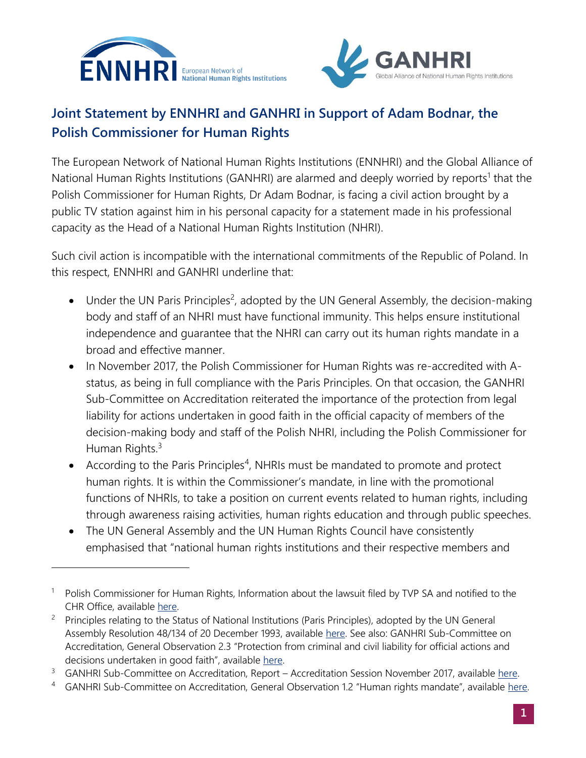



## **Joint Statement by ENNHRI and GANHRI in Support of Adam Bodnar, the Polish Commissioner for Human Rights**

The European Network of National Human Rights Institutions (ENNHRI) and the Global Alliance of National Human Rights Institutions (GANHRI) are alarmed and deeply worried by reports<sup>1</sup> that the Polish Commissioner for Human Rights, Dr Adam Bodnar, is facing a civil action brought by a public TV station against him in his personal capacity for a statement made in his professional capacity as the Head of a National Human Rights Institution (NHRI).

Such civil action is incompatible with the international commitments of the Republic of Poland. In this respect, ENNHRI and GANHRI underline that:

- Under the UN Paris Principles<sup>2</sup>, adopted by the UN General Assembly, the decision-making body and staff of an NHRI must have functional immunity. This helps ensure institutional independence and guarantee that the NHRI can carry out its human rights mandate in a broad and effective manner.
- In November 2017, the Polish Commissioner for Human Rights was re-accredited with Astatus, as being in full compliance with the Paris Principles. On that occasion, the GANHRI Sub-Committee on Accreditation reiterated the importance of the protection from legal liability for actions undertaken in good faith in the official capacity of members of the decision-making body and staff of the Polish NHRI, including the Polish Commissioner for Human Rights.<sup>3</sup>
- According to the Paris Principles<sup>4</sup>, NHRIs must be mandated to promote and protect human rights. It is within the Commissioner's mandate, in line with the promotional functions of NHRIs, to take a position on current events related to human rights, including through awareness raising activities, human rights education and through public speeches.
- The UN General Assembly and the UN Human Rights Council have consistently emphasised that "national human rights institutions and their respective members and

<sup>1</sup> Polish Commissioner for Human Rights, Information about the lawsuit filed by TVP SA and notified to the CHR Office, available [here.](https://www.rpo.gov.pl/en/content/information-about-lawsuit-filed-tvp-and-notified-chr-office)

<sup>&</sup>lt;sup>2</sup> Principles relating to the Status of National Institutions (Paris Principles), adopted by the UN General Assembly Resolution 48/134 of 20 December 1993, available [here.](https://www.un.org/ruleoflaw/files/PRINCI~5.PDF) See also: GANHRI Sub-Committee on Accreditation, General Observation 2.3 "Protection from criminal and civil liability for official actions and decisions undertaken in good faith", available [here.](https://nhri.ohchr.org/EN/AboutUs/GANHRIAccreditation/General%20Observations%201/EN_GeneralObservations_Revisions_adopted_21.02.2018_vf.pdf)

<sup>&</sup>lt;sup>3</sup> GANHRI Sub-Committee on Accreditation, Report – Accreditation Session November 2017, available [here.](https://nhri.ohchr.org/EN/AboutUs/GANHRIAccreditation/Documents/SCA%20Report%20November%202017%20-%20ENG.pdf)

<sup>&</sup>lt;sup>4</sup> GANHRI Sub-Committee on Accreditation, General Observation 1.2 "Human rights mandate", available [here.](https://nhri.ohchr.org/EN/AboutUs/GANHRIAccreditation/General%20Observations%201/EN_GeneralObservations_Revisions_adopted_21.02.2018_vf.pdf)